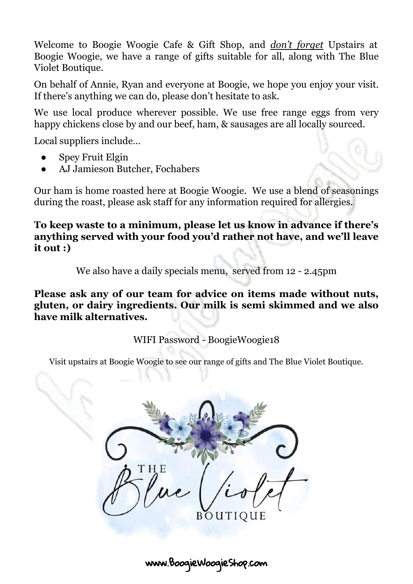Welcome to Boogie Woogie Cafe & Gift Shop, and *don't forget* Upstairs at Boogie Woogie, we have a range of gifts suitable for all, along with The Blue Violet Boutique.

On behalf of Annie, Ryan and everyone at Boogie, we hope you enjoy your visit. If there's anything we can do, please don't hesitate to ask.

We use local produce wherever possible. We use free range eggs from very happy chickens close by and our beef, ham, & sausages are all locally sourced.

Local suppliers include…

- **Spey Fruit Elgin**
- AJ Jamieson Butcher, Fochabers

Our ham is home roasted here at Boogie Woogie. We use a blend of seasonings during the roast, please ask staff for any information required for allergies.

**To keep waste to a minimum, please let us know in advance if there's anything served with your food you'd rather not have, and we'll leave it out :)**

We also have a daily specials menu, served from 12 - 2.45pm

**Please ask any of our team for advice on items made without nuts, gluten, or dairy ingredients. Our milk is semi skimmed and we also have milk alternatives.**

WIFI Password - BoogieWoogie18

Visit upstairs at Boogie Woogie to see our range of gifts and The Blue Violet Boutique.

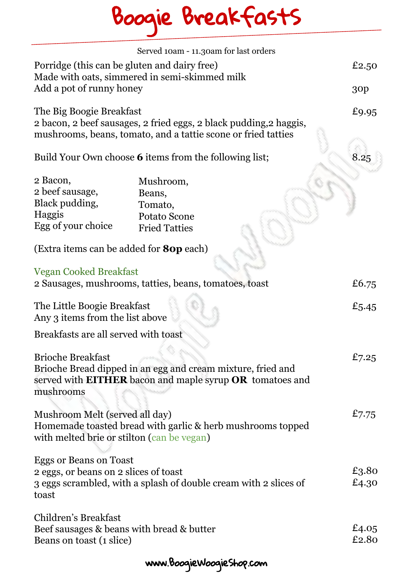# Boogie BreakfastS

|                                                                                               | Served 10am - 11.30am for last orders                                                                                               |                |
|-----------------------------------------------------------------------------------------------|-------------------------------------------------------------------------------------------------------------------------------------|----------------|
| Porridge (this can be gluten and dairy free)<br>Made with oats, simmered in semi-skimmed milk |                                                                                                                                     | £2.50          |
| Add a pot of runny honey                                                                      |                                                                                                                                     | 30p            |
| The Big Boogie Breakfast                                                                      | 2 bacon, 2 beef sausages, 2 fried eggs, 2 black pudding, 2 haggis,<br>mushrooms, beans, tomato, and a tattie scone or fried tatties | £9.95          |
|                                                                                               | Build Your Own choose 6 items from the following list;                                                                              | 8.25           |
| 2 Bacon,                                                                                      | Mushroom,                                                                                                                           |                |
| 2 beef sausage,                                                                               | Beans,                                                                                                                              |                |
| Black pudding,                                                                                | Tomato,                                                                                                                             |                |
| Haggis                                                                                        | Potato Scone                                                                                                                        |                |
| Egg of your choice                                                                            | <b>Fried Tatties</b>                                                                                                                |                |
| (Extra items can be added for <b>80p</b> each)                                                |                                                                                                                                     |                |
| <b>Vegan Cooked Breakfast</b>                                                                 |                                                                                                                                     |                |
|                                                                                               | 2 Sausages, mushrooms, tatties, beans, tomatoes, toast                                                                              | £6.75          |
|                                                                                               |                                                                                                                                     |                |
| The Little Boogie Breakfast<br>Any 3 items from the list above                                |                                                                                                                                     | £5.45          |
| Breakfasts are all served with toast                                                          |                                                                                                                                     |                |
| <b>Brioche Breakfast</b><br>mushrooms                                                         | Brioche Bread dipped in an egg and cream mixture, fried and<br>served with <b>EITHER</b> bacon and maple syrup OR tomatoes and      | £7.25          |
| Mushroom Melt (served all day)<br>with melted brie or stilton (can be vegan)                  | Homemade toasted bread with garlic & herb mushrooms topped                                                                          | £7.75          |
| <b>Eggs or Beans on Toast</b><br>2 eggs, or beans on 2 slices of toast<br>toast               | 3 eggs scrambled, with a splash of double cream with 2 slices of                                                                    | £3.80<br>£4.30 |
| Children's Breakfast<br>Beef sausages & beans with bread & butter<br>Beans on toast (1 slice) |                                                                                                                                     | £4.05<br>£2.80 |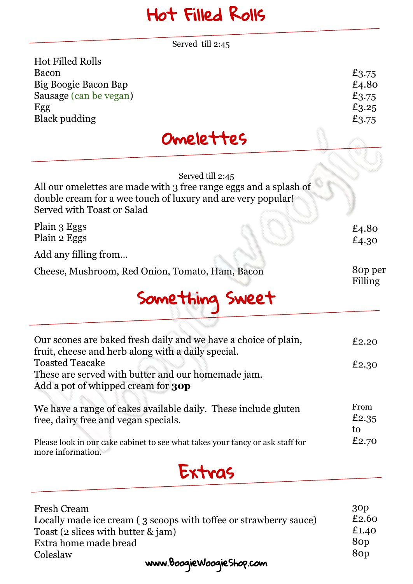### Hot Filled Rolls

Served till 2:45

| <b>Hot Filled Rolls</b> |       |
|-------------------------|-------|
| Bacon                   | £3.75 |
| Big Boogie Bacon Bap    | £4.80 |
| Sausage (can be vegan)  | £3.75 |
| Egg                     | £3.25 |
| Black pudding           | £3.75 |
| Omelettes               |       |



| Served till 2:45<br>All our omelettes are made with 3 free range eggs and a splash of<br>double cream for a wee touch of luxury and are very popular!<br>Served with Toast or Salad |                     |
|-------------------------------------------------------------------------------------------------------------------------------------------------------------------------------------|---------------------|
| Plain 3 Eggs<br>Plain 2 Eggs                                                                                                                                                        | £4.80<br>£4.30      |
| Add any filling from                                                                                                                                                                |                     |
| Cheese, Mushroom, Red Onion, Tomato, Ham, Bacon                                                                                                                                     | 80p per<br>Filling  |
| Something Sweet                                                                                                                                                                     |                     |
| Our scones are baked fresh daily and we have a choice of plain,<br>fruit, cheese and herb along with a daily special.                                                               | £2.20               |
| <b>Toasted Teacake</b><br>These are served with butter and our homemade jam.<br>Add a pot of whipped cream for <b>30p</b>                                                           | £2.30               |
| We have a range of cakes available daily. These include gluten<br>free, dairy free and vegan specials.                                                                              | From<br>£2.35<br>to |
| Please look in our cake cabinet to see what takes your fancy or ask staff for<br>more information.                                                                                  | £2.70               |
| txtrag                                                                                                                                                                              |                     |

| <b>Fresh Cream</b>                                                | 30 <sub>p</sub>  |
|-------------------------------------------------------------------|------------------|
| Locally made ice cream (3 scoops with toffee or strawberry sauce) | £2.60            |
| Toast (2 slices with butter $\&$ jam)                             | £1.40            |
| Extra home made bread                                             | 8 <sub>O</sub> p |
| Coleslaw                                                          | 8 <sub>O</sub> p |
| www.BooqieWooqieShop.com                                          |                  |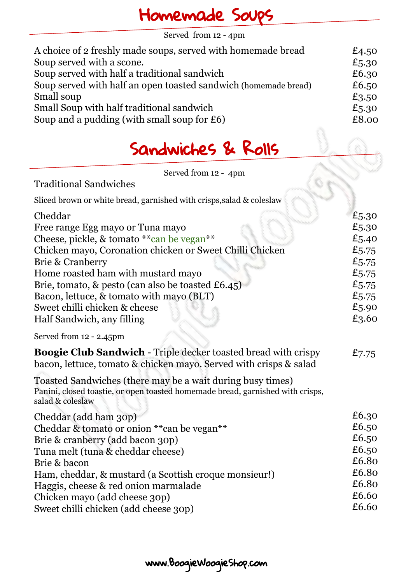#### Homemade Soups

Served from 12 - 4pm

| A choice of 2 freshly made soups, served with homemade bread    | £4.50 |
|-----------------------------------------------------------------|-------|
| Soup served with a scone.                                       | £5.30 |
| Soup served with half a traditional sandwich                    | £6.30 |
| Soup served with half an open toasted sandwich (homemade bread) | £6.50 |
| Small soup                                                      | £3.50 |
| Small Soup with half traditional sandwich                       | £5.30 |
| Soup and a pudding (with small soup for $£6$ )                  | £8.00 |
|                                                                 |       |

#### Sandwiches & Rolls

Served from 12 - 4pm

Traditional Sandwiches

| Sliced brown or white bread, garnished with crisps, salad & coleslaw                                                                                             |       |
|------------------------------------------------------------------------------------------------------------------------------------------------------------------|-------|
| Cheddar                                                                                                                                                          | £5.30 |
| Free range Egg mayo or Tuna mayo                                                                                                                                 | £5.30 |
| Cheese, pickle, & tomato ** can be vegan**                                                                                                                       | £5.40 |
| Chicken mayo, Coronation chicken or Sweet Chilli Chicken                                                                                                         | £5.75 |
| Brie & Cranberry                                                                                                                                                 | £5.75 |
| Home roasted ham with mustard mayo                                                                                                                               | £5.75 |
| Brie, tomato, & pesto (can also be toasted £6.45)                                                                                                                | £5.75 |
| Bacon, lettuce, & tomato with mayo (BLT)                                                                                                                         | £5.75 |
| Sweet chilli chicken & cheese                                                                                                                                    | £5.90 |
| Half Sandwich, any filling                                                                                                                                       | £3.60 |
| Served from 12 - 2.45pm                                                                                                                                          |       |
| Boogie Club Sandwich - Triple decker toasted bread with crispy<br>bacon, lettuce, tomato & chicken mayo. Served with crisps & salad                              | £7.75 |
| Toasted Sandwiches (there may be a wait during busy times)<br>Panini, closed toastie, or open toasted homemade bread, garnished with crisps,<br>salad & coleslaw |       |
| Cheddar (add ham 30p)                                                                                                                                            | £6.30 |
| Cheddar & tomato or onion ** can be vegan**                                                                                                                      | £6.50 |
| Brie & cranberry (add bacon 30p)                                                                                                                                 | £6.50 |
| Tuna melt (tuna & cheddar cheese)                                                                                                                                | £6.50 |
| Brie & bacon                                                                                                                                                     | £6.80 |
| Ham, cheddar, & mustard (a Scottish croque monsieur!)                                                                                                            | £6.80 |
| Haggis, cheese & red onion marmalade                                                                                                                             | £6.80 |
| Chicken mayo (add cheese 30p)                                                                                                                                    | £6.60 |
| Sweet chilli chicken (add cheese 30p)                                                                                                                            | £6.60 |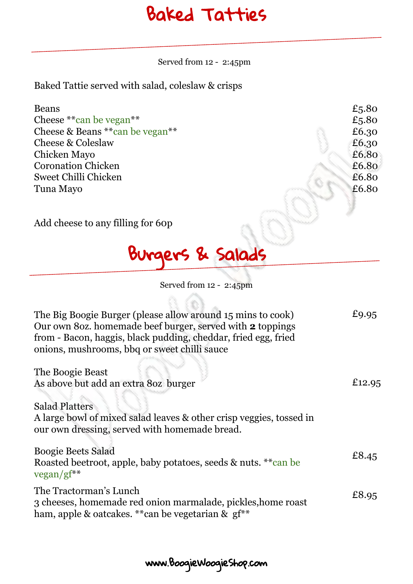#### Baked Tatties

Served from 12 - 2:45pm

Baked Tattie served with salad, coleslaw & crisps

| <b>Beans</b>                     | £5.80 |
|----------------------------------|-------|
| Cheese ** can be vegan**         | £5.80 |
| Cheese & Beans ** can be vegan** | £6.30 |
| Cheese & Coleslaw                | £6.30 |
| Chicken Mayo                     | £6.80 |
| <b>Coronation Chicken</b>        | £6.80 |
| Sweet Chilli Chicken             | £6.80 |
| Tuna Mayo                        | £6.80 |
|                                  |       |

Add cheese to any filling for 60p

## Burgers & Salads

 $0.60.$ 

Served from 12 - 2:45pm

| The Big Boogie Burger (please allow around 15 mins to cook)<br>Our own 80z. homemade beef burger, served with 2 toppings<br>from - Bacon, haggis, black pudding, cheddar, fried egg, fried<br>onions, mushrooms, bbq or sweet chilli sauce | £9.95  |
|--------------------------------------------------------------------------------------------------------------------------------------------------------------------------------------------------------------------------------------------|--------|
| The Boogie Beast<br>As above but add an extra 80z burger                                                                                                                                                                                   | £12.95 |
| <b>Salad Platters</b><br>A large bowl of mixed salad leaves & other crisp veggies, tossed in<br>our own dressing, served with homemade bread.                                                                                              |        |
| <b>Boogie Beets Salad</b><br>Roasted beetroot, apple, baby potatoes, seeds & nuts. ** can be<br>$vegan/gf**$                                                                                                                               | £8.45  |
| The Tractorman's Lunch<br>3 cheeses, homemade red onion marmalade, pickles, home roast<br>ham, apple & oatcakes. ** can be vegetarian & gf**                                                                                               | £8.95  |